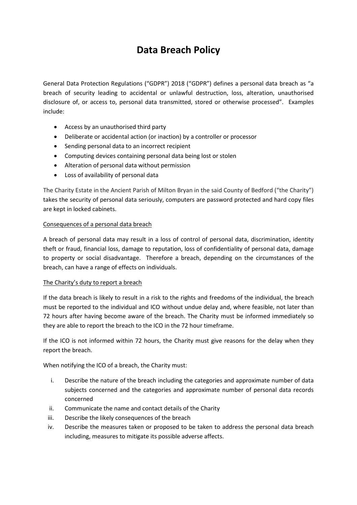# **Data Breach Policy**

General Data Protection Regulations ("GDPR") 2018 ("GDPR") defines a personal data breach as "a breach of security leading to accidental or unlawful destruction, loss, alteration, unauthorised disclosure of, or access to, personal data transmitted, stored or otherwise processed". Examples include:

- Access by an unauthorised third party
- Deliberate or accidental action (or inaction) by a controller or processor
- Sending personal data to an incorrect recipient
- Computing devices containing personal data being lost or stolen
- Alteration of personal data without permission
- Loss of availability of personal data

The Charity Estate in the Ancient Parish of Milton Bryan in the said County of Bedford ("the Charity") takes the security of personal data seriously, computers are password protected and hard copy files are kept in locked cabinets.

## Consequences of a personal data breach

A breach of personal data may result in a loss of control of personal data, discrimination, identity theft or fraud, financial loss, damage to reputation, loss of confidentiality of personal data, damage to property or social disadvantage. Therefore a breach, depending on the circumstances of the breach, can have a range of effects on individuals.

# The Charity's duty to report a breach

If the data breach is likely to result in a risk to the rights and freedoms of the individual, the breach must be reported to the individual and ICO without undue delay and, where feasible, not later than 72 hours after having become aware of the breach. The Charity must be informed immediately so they are able to report the breach to the ICO in the 72 hour timeframe.

If the ICO is not informed within 72 hours, the Charity must give reasons for the delay when they report the breach.

When notifying the ICO of a breach, the Charity must:

- i. Describe the nature of the breach including the categories and approximate number of data subjects concerned and the categories and approximate number of personal data records concerned
- ii. Communicate the name and contact details of the Charity
- iii. Describe the likely consequences of the breach
- iv. Describe the measures taken or proposed to be taken to address the personal data breach including, measures to mitigate its possible adverse affects.